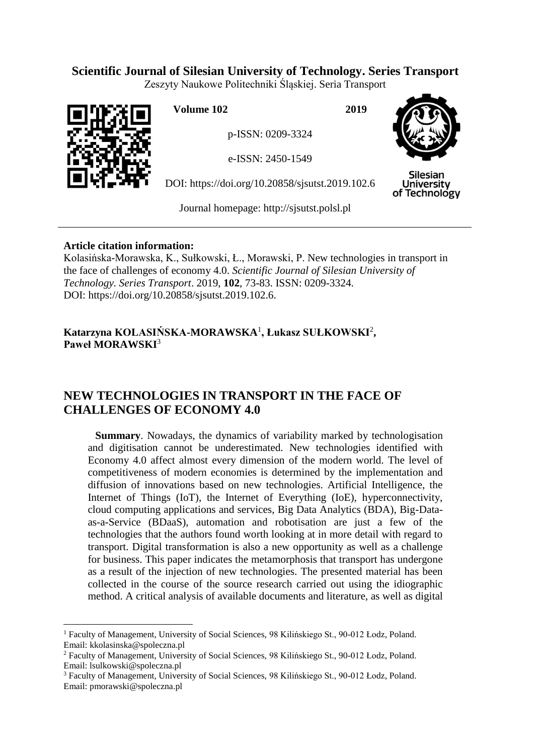## **Scientific Journal of Silesian University of Technology. Series Transport**

Zeszyty Naukowe Politechniki Śląskiej. Seria Transport



**Volume 102 2019**

p-ISSN: 0209-3324

e-ISSN: 2450-1549

DOI: https://doi.org/10.20858/sjsutst.2019.102.6



**Silesian University** of Technology

Journal homepage: [http://sjsutst.polsl.pl](http://sjsutst.polsl.pl/)

### **Article citation information:**

 $\overline{a}$ 

Kolasińska-Morawska, K., Sułkowski, Ł., Morawski, P. New technologies in transport in the face of challenges of economy 4.0. *Scientific Journal of Silesian University of Technology. Series Transport*. 2019, **102**, 73-83. ISSN: 0209-3324. DOI: https://doi.org/10.20858/sjsutst.2019.102.6.

## **Katarzyna KOLASIŃSKA-MORAWSKA**<sup>1</sup> **, Łukasz SUŁKOWSKI**<sup>2</sup> **, Paweł MORAWSKI**<sup>3</sup>

# **NEW TECHNOLOGIES IN TRANSPORT IN THE FACE OF CHALLENGES OF ECONOMY 4.0**

**Summary**. Nowadays, the dynamics of variability marked by technologisation and digitisation cannot be underestimated. New technologies identified with Economy 4.0 affect almost every dimension of the modern world. The level of competitiveness of modern economies is determined by the implementation and diffusion of innovations based on new technologies. Artificial Intelligence, the Internet of Things (IoT), the Internet of Everything (IoE), hyperconnectivity, cloud computing applications and services, Big Data Analytics (BDA), Big-Dataas-a-Service (BDaaS), automation and robotisation are just a few of the technologies that the authors found worth looking at in more detail with regard to transport. Digital transformation is also a new opportunity as well as a challenge for business. This paper indicates the metamorphosis that transport has undergone as a result of the injection of new technologies. The presented material has been collected in the course of the source research carried out using the idiographic method. A critical analysis of available documents and literature, as well as digital

<sup>1</sup> Faculty of Management, University of Social Sciences, 98 Kilińskiego St., 90-012 Łodz, Poland. Email: kkolasinska@spoleczna.pl

<sup>2</sup> Faculty of Management, University of Social Sciences, 98 Kilińskiego St., 90-012 Łodz, Poland. Email: lsulkowski@spoleczna.pl

<sup>3</sup> Faculty of Management, University of Social Sciences, 98 Kilińskiego St., 90-012 Łodz, Poland. Email: pmorawski@spoleczna.pl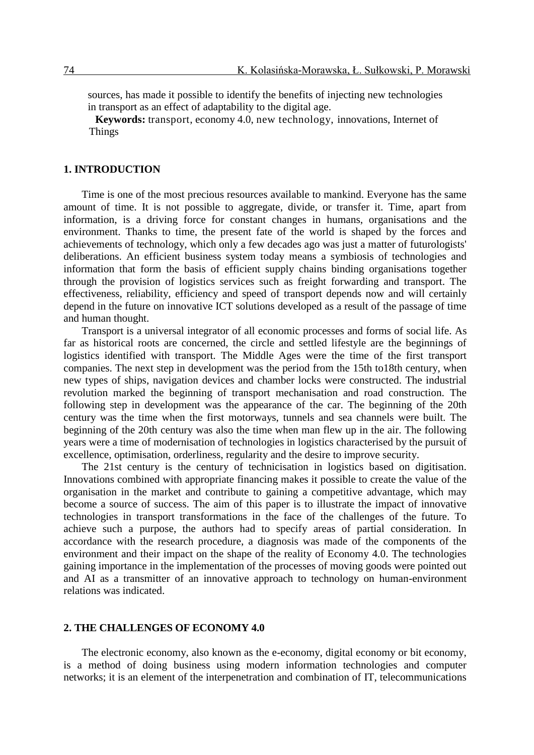sources, has made it possible to identify the benefits of injecting new technologies in transport as an effect of adaptability to the digital age.

**Keywords:** transport, economy 4.0, new technology, innovations, Internet of Things

#### **1. INTRODUCTION**

Time is one of the most precious resources available to mankind. Everyone has the same amount of time. It is not possible to aggregate, divide, or transfer it. Time, apart from information, is a driving force for constant changes in humans, organisations and the environment. Thanks to time, the present fate of the world is shaped by the forces and achievements of technology, which only a few decades ago was just a matter of futurologists' deliberations. An efficient business system today means a symbiosis of technologies and information that form the basis of efficient supply chains binding organisations together through the provision of logistics services such as freight forwarding and transport. The effectiveness, reliability, efficiency and speed of transport depends now and will certainly depend in the future on innovative ICT solutions developed as a result of the passage of time and human thought.

Transport is a universal integrator of all economic processes and forms of social life. As far as historical roots are concerned, the circle and settled lifestyle are the beginnings of logistics identified with transport. The Middle Ages were the time of the first transport companies. The next step in development was the period from the 15th to18th century, when new types of ships, navigation devices and chamber locks were constructed. The industrial revolution marked the beginning of transport mechanisation and road construction. The following step in development was the appearance of the car. The beginning of the 20th century was the time when the first motorways, tunnels and sea channels were built. The beginning of the 20th century was also the time when man flew up in the air. The following years were a time of modernisation of technologies in logistics characterised by the pursuit of excellence, optimisation, orderliness, regularity and the desire to improve security.

The 21st century is the century of technicisation in logistics based on digitisation. Innovations combined with appropriate financing makes it possible to create the value of the organisation in the market and contribute to gaining a competitive advantage, which may become a source of success. The aim of this paper is to illustrate the impact of innovative technologies in transport transformations in the face of the challenges of the future. To achieve such a purpose, the authors had to specify areas of partial consideration. In accordance with the research procedure, a diagnosis was made of the components of the environment and their impact on the shape of the reality of Economy 4.0. The technologies gaining importance in the implementation of the processes of moving goods were pointed out and AI as a transmitter of an innovative approach to technology on human-environment relations was indicated.

#### **2. THE CHALLENGES OF ECONOMY 4.0**

The electronic economy, also known as the e-economy, digital economy or bit economy, is a method of doing business using modern information technologies and computer networks; it is an element of the interpenetration and combination of IT, telecommunications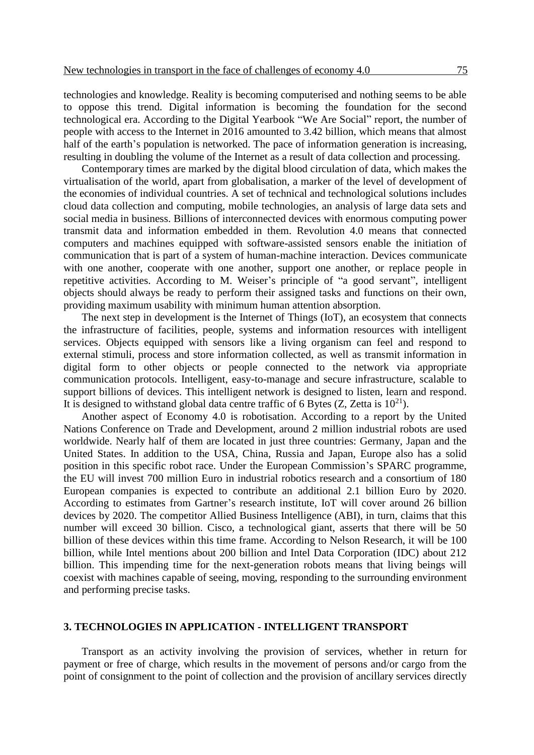technologies and knowledge. Reality is becoming computerised and nothing seems to be able to oppose this trend. Digital information is becoming the foundation for the second technological era. According to the Digital Yearbook "We Are Social" report, the number of people with access to the Internet in 2016 amounted to 3.42 billion, which means that almost half of the earth's population is networked. The pace of information generation is increasing, resulting in doubling the volume of the Internet as a result of data collection and processing.

Contemporary times are marked by the digital blood circulation of data, which makes the virtualisation of the world, apart from globalisation, a marker of the level of development of the economies of individual countries. A set of technical and technological solutions includes cloud data collection and computing, mobile technologies, an analysis of large data sets and social media in business. Billions of interconnected devices with enormous computing power transmit data and information embedded in them. Revolution 4.0 means that connected computers and machines equipped with software-assisted sensors enable the initiation of communication that is part of a system of human-machine interaction. Devices communicate with one another, cooperate with one another, support one another, or replace people in repetitive activities. According to M. Weiser's principle of "a good servant", intelligent objects should always be ready to perform their assigned tasks and functions on their own, providing maximum usability with minimum human attention absorption.

The next step in development is the Internet of Things (IoT), an ecosystem that connects the infrastructure of facilities, people, systems and information resources with intelligent services. Objects equipped with sensors like a living organism can feel and respond to external stimuli, process and store information collected, as well as transmit information in digital form to other objects or people connected to the network via appropriate communication protocols. Intelligent, easy-to-manage and secure infrastructure, scalable to support billions of devices. This intelligent network is designed to listen, learn and respond. It is designed to withstand global data centre traffic of 6 Bytes  $(Z, Z)$ etta is  $10^{21}$ .

Another aspect of Economy 4.0 is robotisation. According to a report by the United Nations Conference on Trade and Development, around 2 million industrial robots are used worldwide. Nearly half of them are located in just three countries: Germany, Japan and the United States. In addition to the USA, China, Russia and Japan, Europe also has a solid position in this specific robot race. Under the European Commission's SPARC programme, the EU will invest 700 million Euro in industrial robotics research and a consortium of 180 European companies is expected to contribute an additional 2.1 billion Euro by 2020. According to estimates from Gartner's research institute, IoT will cover around 26 billion devices by 2020. The competitor Allied Business Intelligence (ABI), in turn, claims that this number will exceed 30 billion. Cisco, a technological giant, asserts that there will be 50 billion of these devices within this time frame. According to Nelson Research, it will be 100 billion, while Intel mentions about 200 billion and Intel Data Corporation (IDC) about 212 billion. This impending time for the next-generation robots means that living beings will coexist with machines capable of seeing, moving, responding to the surrounding environment and performing precise tasks.

#### **3. TECHNOLOGIES IN APPLICATION - INTELLIGENT TRANSPORT**

Transport as an activity involving the provision of services, whether in return for payment or free of charge, which results in the movement of persons and/or cargo from the point of consignment to the point of collection and the provision of ancillary services directly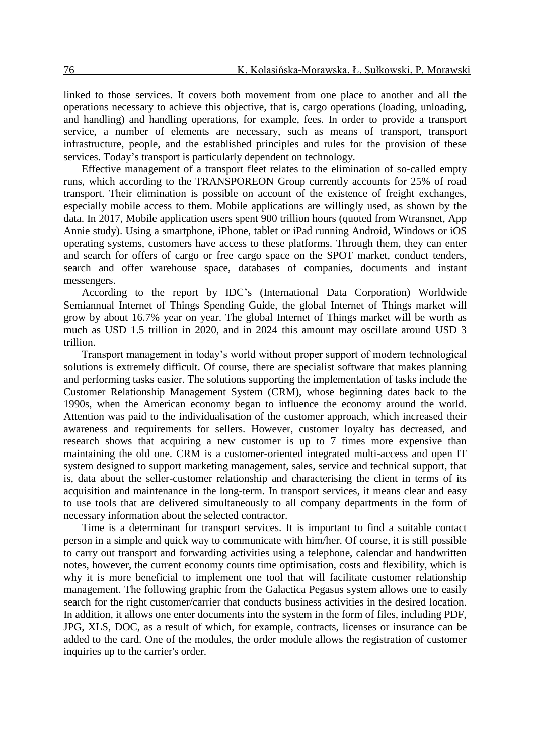linked to those services. It covers both movement from one place to another and all the operations necessary to achieve this objective, that is, cargo operations (loading, unloading, and handling) and handling operations, for example, fees. In order to provide a transport service, a number of elements are necessary, such as means of transport, transport infrastructure, people, and the established principles and rules for the provision of these services. Today's transport is particularly dependent on technology.

Effective management of a transport fleet relates to the elimination of so-called empty runs, which according to the TRANSPOREON Group currently accounts for 25% of road transport. Their elimination is possible on account of the existence of freight exchanges, especially mobile access to them. Mobile applications are willingly used, as shown by the data. In 2017, Mobile application users spent 900 trillion hours (quoted from Wtransnet, App Annie study). Using a smartphone, iPhone, tablet or iPad running Android, Windows or iOS operating systems, customers have access to these platforms. Through them, they can enter and search for offers of cargo or free cargo space on the SPOT market, conduct tenders, search and offer warehouse space, databases of companies, documents and instant messengers.

According to the report by IDC's (International Data Corporation) Worldwide Semiannual Internet of Things Spending Guide, the global Internet of Things market will grow by about 16.7% year on year. The global Internet of Things market will be worth as much as USD 1.5 trillion in 2020, and in 2024 this amount may oscillate around USD 3 trillion.

Transport management in today's world without proper support of modern technological solutions is extremely difficult. Of course, there are specialist software that makes planning and performing tasks easier. The solutions supporting the implementation of tasks include the Customer Relationship Management System (CRM), whose beginning dates back to the 1990s, when the American economy began to influence the economy around the world. Attention was paid to the individualisation of the customer approach, which increased their awareness and requirements for sellers. However, customer loyalty has decreased, and research shows that acquiring a new customer is up to 7 times more expensive than maintaining the old one. CRM is a customer-oriented integrated multi-access and open IT system designed to support marketing management, sales, service and technical support, that is, data about the seller-customer relationship and characterising the client in terms of its acquisition and maintenance in the long-term. In transport services, it means clear and easy to use tools that are delivered simultaneously to all company departments in the form of necessary information about the selected contractor.

Time is a determinant for transport services. It is important to find a suitable contact person in a simple and quick way to communicate with him/her. Of course, it is still possible to carry out transport and forwarding activities using a telephone, calendar and handwritten notes, however, the current economy counts time optimisation, costs and flexibility, which is why it is more beneficial to implement one tool that will facilitate customer relationship management. The following graphic from the Galactica Pegasus system allows one to easily search for the right customer/carrier that conducts business activities in the desired location. In addition, it allows one enter documents into the system in the form of files, including PDF, JPG, XLS, DOC, as a result of which, for example, contracts, licenses or insurance can be added to the card. One of the modules, the order module allows the registration of customer inquiries up to the carrier's order.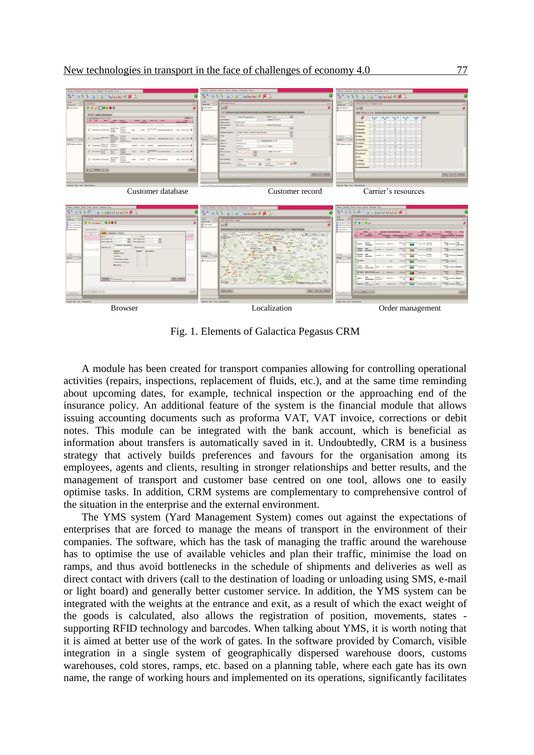

Fig. 1. Elements of Galactica Pegasus CRM

A module has been created for transport companies allowing for controlling operational activities (repairs, inspections, replacement of fluids, etc.), and at the same time reminding about upcoming dates, for example, technical inspection or the approaching end of the insurance policy. An additional feature of the system is the financial module that allows issuing accounting documents such as proforma VAT, VAT invoice, corrections or debit notes. This module can be integrated with the bank account, which is beneficial as information about transfers is automatically saved in it. Undoubtedly, CRM is a business strategy that actively builds preferences and favours for the organisation among its employees, agents and clients, resulting in stronger relationships and better results, and the management of transport and customer base centred on one tool, allows one to easily optimise tasks. In addition, CRM systems are complementary to comprehensive control of the situation in the enterprise and the external environment.

The YMS system (Yard Management System) comes out against the expectations of enterprises that are forced to manage the means of transport in the environment of their companies. The software, which has the task of managing the traffic around the warehouse has to optimise the use of available vehicles and plan their traffic, minimise the load on ramps, and thus avoid bottlenecks in the schedule of shipments and deliveries as well as direct contact with drivers (call to the destination of loading or unloading using SMS, e-mail or light board) and generally better customer service. In addition, the YMS system can be integrated with the weights at the entrance and exit, as a result of which the exact weight of the goods is calculated, also allows the registration of position, movements, states supporting RFID technology and barcodes. When talking about YMS, it is worth noting that it is aimed at better use of the work of gates. In the software provided by Comarch, visible integration in a single system of geographically dispersed warehouse doors, customs warehouses, cold stores, ramps, etc. based on a planning table, where each gate has its own name, the range of working hours and implemented on its operations, significantly facilitates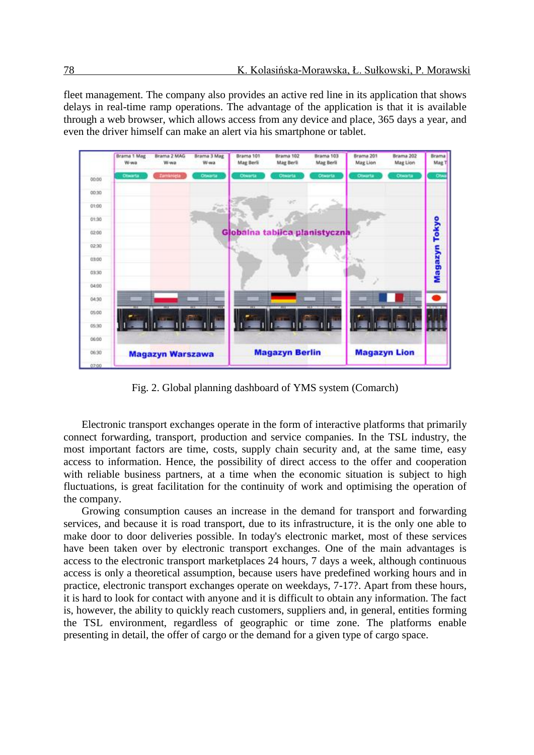fleet management. The company also provides an active red line in its application that shows delays in real-time ramp operations. The advantage of the application is that it is available through a web browser, which allows access from any device and place, 365 days a year, and even the driver himself can make an alert via his smartphone or tablet.



Fig. 2. Global planning dashboard of YMS system (Comarch)

Electronic transport exchanges operate in the form of interactive platforms that primarily connect forwarding, transport, production and service companies. In the TSL industry, the most important factors are time, costs, supply chain security and, at the same time, easy access to information. Hence, the possibility of direct access to the offer and cooperation with reliable business partners, at a time when the economic situation is subject to high fluctuations, is great facilitation for the continuity of work and optimising the operation of the company.

Growing consumption causes an increase in the demand for transport and forwarding services, and because it is road transport, due to its infrastructure, it is the only one able to make door to door deliveries possible. In today's electronic market, most of these services have been taken over by electronic transport exchanges. One of the main advantages is access to the electronic transport marketplaces 24 hours, 7 days a week, although continuous access is only a theoretical assumption, because users have predefined working hours and in practice, electronic transport exchanges operate on weekdays, 7-17?. Apart from these hours, it is hard to look for contact with anyone and it is difficult to obtain any information. The fact is, however, the ability to quickly reach customers, suppliers and, in general, entities forming the TSL environment, regardless of geographic or time zone. The platforms enable presenting in detail, the offer of cargo or the demand for a given type of cargo space.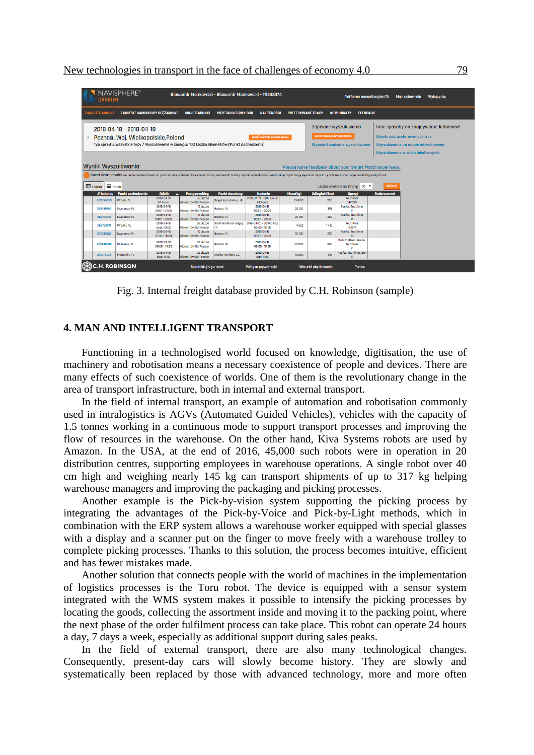| <b>CARRIER</b>      | <b>NAVISPHERE®</b>                                                                                                                    |                               |                                          |                              | Slawomir Mankowski - Slawomir Mankowski - T9533374                                                                                                                                                                          |                          |                                    | Platforma komunikacyjna (0)                              |                    | <b>Moje ustawienia</b><br><b>Wyloguj sie</b>                          |
|---------------------|---------------------------------------------------------------------------------------------------------------------------------------|-------------------------------|------------------------------------------|------------------------------|-----------------------------------------------------------------------------------------------------------------------------------------------------------------------------------------------------------------------------|--------------------------|------------------------------------|----------------------------------------------------------|--------------------|-----------------------------------------------------------------------|
| ZNAJDŹ ŁADUNKI      |                                                                                                                                       | ZAMIEŚĆ SAMOCHODY CIĘŻAROWE   | <b>MOJE LADUNKI</b>                      | <b>PRZETARGI FIRMY CHR</b>   | <b>NALEŻNOŚCI</b>                                                                                                                                                                                                           | <b>PREFEROWANE TRASY</b> |                                    | <b>KOMUNIKATY</b><br><b>FEEDBACK</b>                     |                    |                                                                       |
|                     | 2018-04-18 - 2018-04-18                                                                                                               |                               |                                          |                              |                                                                                                                                                                                                                             |                          |                                    | Zapisane wyszukiwania                                    |                    | Inne sposoby na znajdywanie ładunków!                                 |
| ÷                   | Poznań, Woj. Wielkopolskie, Poland<br>Typ sprzetu: Wszystkie typy / Wyszukiwanie w zasięgu: 100 Liczba kilometrów (Punkt pochodzenia) |                               |                                          |                              | <b>ZMIEŃ KRYTERIA WYSZUKIWANIA</b>                                                                                                                                                                                          |                          | <b>ZAPISZ BIEŻĄCE WYSZUKIWANIE</b> | Wyświetl zapisane wyszukiwania                           |                    | Wyniki dot. preferowanych tras<br>Wyszukiwanie na mapie interaktywnei |
|                     |                                                                                                                                       |                               |                                          |                              |                                                                                                                                                                                                                             |                          |                                    |                                                          |                    | Wyszukiwanie w wielu lokalizacjach                                    |
| Wyniki Wyszukiwania |                                                                                                                                       |                               |                                          |                              |                                                                                                                                                                                                                             |                          |                                    | Please leave feedback about your Smart Match experience. |                    |                                                                       |
|                     |                                                                                                                                       |                               |                                          |                              | Smart Match results are recommended based on your carrier's preferred lanes, load history and search history. Wyniki wyszukiwania wartości łącznych mogą się różnić. Wyniki są obliczane przed odjęciem liczby pustych mil. |                          |                                    |                                                          |                    |                                                                       |
| ⊞ Siatka E Karta    |                                                                                                                                       |                               |                                          |                              |                                                                                                                                                                                                                             |                          |                                    | Liczba wyników na stronę: 50 ▼                           | <b>ODŚWIEŻ</b>     |                                                                       |
| # ladunku           | <b>Punkt pochodzenia</b>                                                                                                              | <b>Odbiór</b>                 | <b>Pusty przebieg</b>                    | <b>Punkt docelowy</b>        | <b>Nadanie</b>                                                                                                                                                                                                              | Masa(kg)                 | Odległość(km)                      | <b>Sprzet</b>                                            | <b>Endorsement</b> |                                                                       |
| 262654959           | Wronki, PL                                                                                                                            | 2018-04-18<br>24 hours        | <b>66 Liczba</b><br>kilometrów Od Poznan | Szigetszentmiklos, HU        | 2018-04-19 - 2018-04-20<br>24 hours                                                                                                                                                                                         | 24 000                   | 950                                | <b>Taut liner</b><br>14X300                              |                    |                                                                       |
| 262749760           | Sworzedz, PL                                                                                                                          | 2018-04-18<br>$00:01 - 03:00$ | 10 Liczbo<br>kilometrów Od Poznan        | Radom, PL                    | 2018-04-18<br>$06:00 - 20:00$                                                                                                                                                                                               | 22 001                   | 353                                | Reefer, Taut liner<br>14                                 |                    |                                                                       |
| 262749761           | Sworzedz, PL                                                                                                                          | 2018-04-18<br>$00:01 - 03:00$ | 10 Liczba<br>kilometrów Od Poznan        | Radom, PL                    | 2018-04-18<br>$05:00 - 20:00$                                                                                                                                                                                               | 22 001                   | 353                                | Reefer, Taut liner<br>14                                 |                    |                                                                       |
| 262750371           | Wronki, PL                                                                                                                            | 2018-04-18<br>oppt 05:00      | <b>66 Liczba</b><br>kilometrów Od Poznan | Saint-Sorlin-en-Bugey,<br>FR | 2018-04-20 - 2018-04-23<br>$08:00 - 16:00$                                                                                                                                                                                  | 4 5 6 2                  | 1415                               | <b>Taut liner</b><br>14X274                              |                    |                                                                       |
| 262749762           | Swarzedz, PL                                                                                                                          | 2018-04-18<br>$07:00 - 10:00$ | 10 Liczba<br>kilometrów Od Poznan        | Radom, PL                    | 2018-04-18<br>$06:00 - 20:00$                                                                                                                                                                                               | 22 001                   | 353                                | Reefer, Tout liner<br>14                                 |                    |                                                                       |
| 262749339           | Wrzesnia, PL                                                                                                                          | 2018-04-18<br>$08:00 - 19:00$ | 52 Liczba<br>kilometrów Od Poznan        | Gdansk, PL                   | 2018-04-18<br>$08:00 - 19:00$                                                                                                                                                                                               | 24 000                   | 280                                | Bulk, Flatbed, Reefer.<br><b>Taut liner</b><br>14        |                    |                                                                       |
| 262773026           | Margonin, PL                                                                                                                          | 2018-04-18<br>oppt 14:00      | 79 Liczba<br>kilometrów Od Poznan        | Kralice na Hane, CZ          | 2018-04-19<br>oppt 14:00                                                                                                                                                                                                    | 13 860                   | 612                                | Reefer, Taut liner, Box<br>14                            |                    |                                                                       |
|                     | <b>C.H. ROBINSON</b>                                                                                                                  |                               | Skontaktuj się z nami                    |                              | Polityka prywatności                                                                                                                                                                                                        |                          | Warunki użytkowania                | Pomoc                                                    |                    |                                                                       |

Fig. 3. Internal freight database provided by C.H. Robinson (sample)

#### **4. MAN AND INTELLIGENT TRANSPORT**

Functioning in a technologised world focused on knowledge, digitisation, the use of machinery and robotisation means a necessary coexistence of people and devices. There are many effects of such coexistence of worlds. One of them is the revolutionary change in the area of transport infrastructure, both in internal and external transport.

In the field of internal transport, an example of automation and robotisation commonly used in intralogistics is AGVs (Automated Guided Vehicles), vehicles with the capacity of 1.5 tonnes working in a continuous mode to support transport processes and improving the flow of resources in the warehouse. On the other hand, Kiva Systems robots are used by Amazon. In the USA, at the end of 2016, 45,000 such robots were in operation in 20 distribution centres, supporting employees in warehouse operations. A single robot over 40 cm high and weighing nearly 145 kg can transport shipments of up to 317 kg helping warehouse managers and improving the packaging and picking processes.

Another example is the Pick-by-vision system supporting the picking process by integrating the advantages of the Pick-by-Voice and Pick-by-Light methods, which in combination with the ERP system allows a warehouse worker equipped with special glasses with a display and a scanner put on the finger to move freely with a warehouse trolley to complete picking processes. Thanks to this solution, the process becomes intuitive, efficient and has fewer mistakes made.

Another solution that connects people with the world of machines in the implementation of logistics processes is the Toru robot. The device is equipped with a sensor system integrated with the WMS system makes it possible to intensify the picking processes by locating the goods, collecting the assortment inside and moving it to the packing point, where the next phase of the order fulfilment process can take place. This robot can operate 24 hours a day, 7 days a week, especially as additional support during sales peaks.

In the field of external transport, there are also many technological changes. Consequently, present-day cars will slowly become history. They are slowly and systematically been replaced by those with advanced technology, more and more often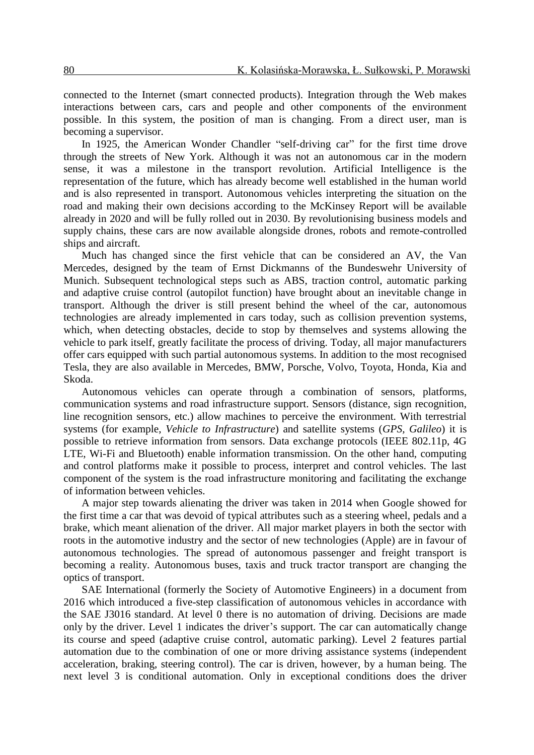connected to the Internet (smart connected products). Integration through the Web makes interactions between cars, cars and people and other components of the environment possible. In this system, the position of man is changing. From a direct user, man is becoming a supervisor.

In 1925, the American Wonder Chandler "self-driving car" for the first time drove through the streets of New York. Although it was not an autonomous car in the modern sense, it was a milestone in the transport revolution. Artificial Intelligence is the representation of the future, which has already become well established in the human world and is also represented in transport. Autonomous vehicles interpreting the situation on the road and making their own decisions according to the McKinsey Report will be available already in 2020 and will be fully rolled out in 2030. By revolutionising business models and supply chains, these cars are now available alongside drones, robots and remote-controlled ships and aircraft.

Much has changed since the first vehicle that can be considered an AV, the Van Mercedes, designed by the team of Ernst Dickmanns of the Bundeswehr University of Munich. Subsequent technological steps such as ABS, traction control, automatic parking and adaptive cruise control (autopilot function) have brought about an inevitable change in transport. Although the driver is still present behind the wheel of the car, autonomous technologies are already implemented in cars today, such as collision prevention systems, which, when detecting obstacles, decide to stop by themselves and systems allowing the vehicle to park itself, greatly facilitate the process of driving. Today, all major manufacturers offer cars equipped with such partial autonomous systems. In addition to the most recognised Tesla, they are also available in Mercedes, BMW, Porsche, Volvo, Toyota, Honda, Kia and Skoda.

Autonomous vehicles can operate through a combination of sensors, platforms, communication systems and road infrastructure support. Sensors (distance, sign recognition, line recognition sensors, etc.) allow machines to perceive the environment. With terrestrial systems (for example, *Vehicle to Infrastructure*) and satellite systems (*GPS, Galileo*) it is possible to retrieve information from sensors. Data exchange protocols (IEEE 802.11p, 4G LTE, Wi-Fi and Bluetooth) enable information transmission. On the other hand, computing and control platforms make it possible to process, interpret and control vehicles. The last component of the system is the road infrastructure monitoring and facilitating the exchange of information between vehicles.

A major step towards alienating the driver was taken in 2014 when Google showed for the first time a car that was devoid of typical attributes such as a steering wheel, pedals and a brake, which meant alienation of the driver. All major market players in both the sector with roots in the automotive industry and the sector of new technologies (Apple) are in favour of autonomous technologies. The spread of autonomous passenger and freight transport is becoming a reality. Autonomous buses, taxis and truck tractor transport are changing the optics of transport.

SAE International (formerly the Society of Automotive Engineers) in a document from 2016 which introduced a five-step classification of autonomous vehicles in accordance with the SAE J3016 standard. At level 0 there is no automation of driving. Decisions are made only by the driver. Level 1 indicates the driver's support. The car can automatically change its course and speed (adaptive cruise control, automatic parking). Level 2 features partial automation due to the combination of one or more driving assistance systems (independent acceleration, braking, steering control). The car is driven, however, by a human being. The next level 3 is conditional automation. Only in exceptional conditions does the driver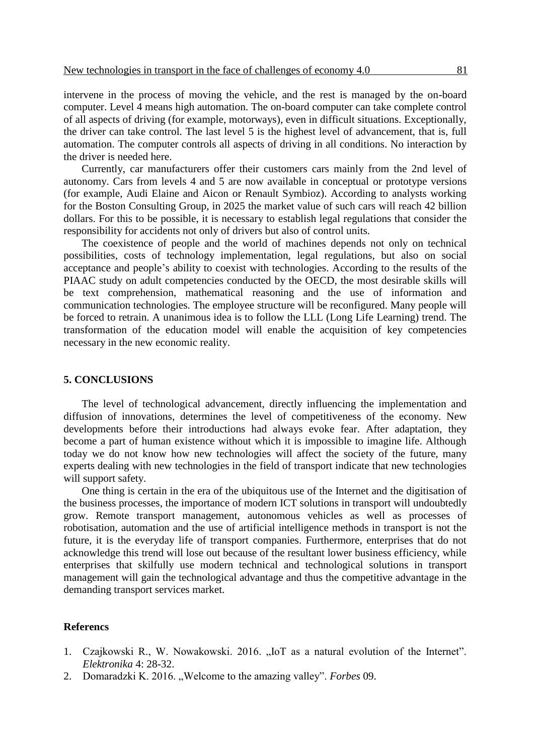intervene in the process of moving the vehicle, and the rest is managed by the on-board computer. Level 4 means high automation. The on-board computer can take complete control of all aspects of driving (for example, motorways), even in difficult situations. Exceptionally, the driver can take control. The last level 5 is the highest level of advancement, that is, full automation. The computer controls all aspects of driving in all conditions. No interaction by the driver is needed here.

Currently, car manufacturers offer their customers cars mainly from the 2nd level of autonomy. Cars from levels 4 and 5 are now available in conceptual or prototype versions (for example, Audi Elaine and Aicon or Renault Symbioz). According to analysts working for the Boston Consulting Group, in 2025 the market value of such cars will reach 42 billion dollars. For this to be possible, it is necessary to establish legal regulations that consider the responsibility for accidents not only of drivers but also of control units.

The coexistence of people and the world of machines depends not only on technical possibilities, costs of technology implementation, legal regulations, but also on social acceptance and people's ability to coexist with technologies. According to the results of the PIAAC study on adult competencies conducted by the OECD, the most desirable skills will be text comprehension, mathematical reasoning and the use of information and communication technologies. The employee structure will be reconfigured. Many people will be forced to retrain. A unanimous idea is to follow the LLL (Long Life Learning) trend. The transformation of the education model will enable the acquisition of key competencies necessary in the new economic reality.

#### **5. CONCLUSIONS**

The level of technological advancement, directly influencing the implementation and diffusion of innovations, determines the level of competitiveness of the economy. New developments before their introductions had always evoke fear. After adaptation, they become a part of human existence without which it is impossible to imagine life. Although today we do not know how new technologies will affect the society of the future, many experts dealing with new technologies in the field of transport indicate that new technologies will support safety.

One thing is certain in the era of the ubiquitous use of the Internet and the digitisation of the business processes, the importance of modern ICT solutions in transport will undoubtedly grow. Remote transport management, autonomous vehicles as well as processes of robotisation, automation and the use of artificial intelligence methods in transport is not the future, it is the everyday life of transport companies. Furthermore, enterprises that do not acknowledge this trend will lose out because of the resultant lower business efficiency, while enterprises that skilfully use modern technical and technological solutions in transport management will gain the technological advantage and thus the competitive advantage in the demanding transport services market.

#### **Referencs**

- 1. Czajkowski R., W. Nowakowski. 2016. "IoT as a natural evolution of the Internet". *Elektronika* 4: 28-32.
- 2. Domaradzki K. 2016. "Welcome to the amazing valley". *Forbes* 09.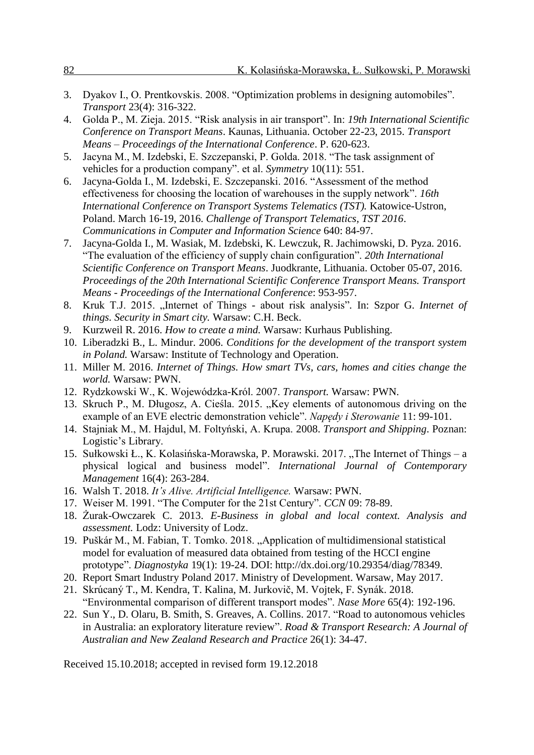|--|

- 3. Dyakov I., O. Prentkovskis. 2008. "Optimization problems in designing automobiles". *Transport* 23(4): 316-322.
- 4. Golda P., M. Zieja. 2015. "Risk analysis in air transport". In: *19th International Scientific Conference on Transport Means*. Kaunas, Lithuania. October 22-23, 2015. *Transport Means – Proceedings of the International Conference*. P. 620-623.
- 5. Jacyna M., M. Izdebski, E. Szczepanski, P. Golda. 2018. "The task assignment of vehicles for a production company". et al. *Symmetry* 10(11): 551.
- 6. Jacyna-Golda I., M. Izdebski, E. Szczepanski. 2016. "Assessment of the method effectiveness for choosing the location of warehouses in the supply network". *16th International Conference on Transport Systems Telematics (TST).* Katowice-Ustron, Poland. March 16-19, 2016. *Challenge of Transport Telematics, TST 2016*. *Communications in Computer and Information Science* 640: 84-97.
- 7. Jacyna-Golda I., M. Wasiak, M. Izdebski, K. Lewczuk, R. Jachimowski, D. Pyza. 2016. "The evaluation of the efficiency of supply chain configuration". *20th International Scientific Conference on Transport Means*. Juodkrante, Lithuania. October 05-07, 2016. *Proceedings of the 20th International Scientific Conference Transport Means. Transport Means - Proceedings of the International Conference*: 953-957.
- 8. Kruk T.J. 2015. "Internet of Things about risk analysis". In: Szpor G. *Internet of things. Security in Smart city.* Warsaw: C.H. Beck.
- 9. Kurzweil R. 2016. *How to create a mind.* Warsaw: Kurhaus Publishing.
- 10. Liberadzki B., L. Mindur. 2006. *Conditions for the development of the transport system in Poland.* Warsaw: Institute of Technology and Operation.
- 11. Miller M. 2016. *Internet of Things. How smart TVs, cars, homes and cities change the world.* Warsaw: PWN.
- 12. Rydzkowski W., K. Wojewódzka-Król. 2007. *Transport.* Warsaw: PWN.
- 13. Skruch P., M. Długosz, A. Cieśla. 2015. "Key elements of autonomous driving on the example of an EVE electric demonstration vehicle". *Napędy i Sterowanie* 11: 99-101.
- 14. Stajniak M., M. Hajdul, M. Foltyński, A. Krupa. 2008. *Transport and Shipping*. Poznan: Logistic's Library.
- 15. Sułkowski Ł., K. Kolasińska-Morawska, P. Morawski. 2017. "The Internet of Things a physical logical and business model". *International Journal of Contemporary Management* 16(4): 263-284.
- 16. Walsh T. 2018. *It's Alive. Artificial Intelligence.* Warsaw: PWN.
- 17. Weiser M. 1991. "The Computer for the 21st Century". *CCN* 09: 78-89.
- 18. Żurak-Owczarek C. 2013. *E-Business in global and local context. Analysis and assessment.* Lodz: University of Lodz.
- 19. Puškár M., M. Fabian, T. Tomko. 2018. "Application of multidimensional statistical model for evaluation of measured data obtained from testing of the HCCI engine prototype". *Diagnostyka* 19(1): 19-24. DOI: http://dx.doi.org/10.29354/diag/78349.
- 20. Report Smart Industry Poland 2017. Ministry of Development. Warsaw, May 2017.
- 21. Skrúcaný T., M. Kendra, T. Kalina, M. Jurkovič, M. Vojtek, F. Synák. 2018. "Environmental comparison of different transport modes". *Nase More* 65(4): 192-196.
- 22. Sun Y., D. Olaru, B. Smith, S. Greaves, A. Collins. 2017. "Road to autonomous vehicles in Australia: an exploratory literature review". *Road & Transport Research: A Journal of Australian and New Zealand Research and Practice* 26(1): 34-47.

Received 15.10.2018; accepted in revised form 19.12.2018